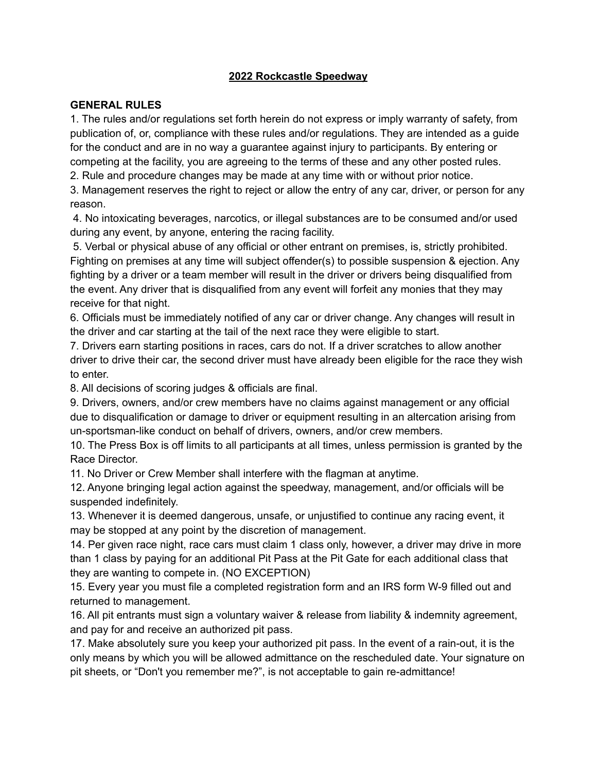#### **2022 Rockcastle Speedway**

#### **GENERAL RULES**

1. The rules and/or regulations set forth herein do not express or imply warranty of safety, from publication of, or, compliance with these rules and/or regulations. They are intended as a guide for the conduct and are in no way a guarantee against injury to participants. By entering or competing at the facility, you are agreeing to the terms of these and any other posted rules.

2. Rule and procedure changes may be made at any time with or without prior notice.

3. Management reserves the right to reject or allow the entry of any car, driver, or person for any reason.

4. No intoxicating beverages, narcotics, or illegal substances are to be consumed and/or used during any event, by anyone, entering the racing facility.

5. Verbal or physical abuse of any official or other entrant on premises, is, strictly prohibited. Fighting on premises at any time will subject offender(s) to possible suspension & ejection. Any fighting by a driver or a team member will result in the driver or drivers being disqualified from the event. Any driver that is disqualified from any event will forfeit any monies that they may receive for that night.

6. Officials must be immediately notified of any car or driver change. Any changes will result in the driver and car starting at the tail of the next race they were eligible to start.

7. Drivers earn starting positions in races, cars do not. If a driver scratches to allow another driver to drive their car, the second driver must have already been eligible for the race they wish to enter.

8. All decisions of scoring judges & officials are final.

9. Drivers, owners, and/or crew members have no claims against management or any official due to disqualification or damage to driver or equipment resulting in an altercation arising from un-sportsman-like conduct on behalf of drivers, owners, and/or crew members.

10. The Press Box is off limits to all participants at all times, unless permission is granted by the Race Director.

11. No Driver or Crew Member shall interfere with the flagman at anytime.

12. Anyone bringing legal action against the speedway, management, and/or officials will be suspended indefinitely.

13. Whenever it is deemed dangerous, unsafe, or unjustified to continue any racing event, it may be stopped at any point by the discretion of management.

14. Per given race night, race cars must claim 1 class only, however, a driver may drive in more than 1 class by paying for an additional Pit Pass at the Pit Gate for each additional class that they are wanting to compete in. (NO EXCEPTION)

15. Every year you must file a completed registration form and an IRS form W-9 filled out and returned to management.

16. All pit entrants must sign a voluntary waiver & release from liability & indemnity agreement, and pay for and receive an authorized pit pass.

17. Make absolutely sure you keep your authorized pit pass. In the event of a rain-out, it is the only means by which you will be allowed admittance on the rescheduled date. Your signature on pit sheets, or "Don't you remember me?", is not acceptable to gain re-admittance!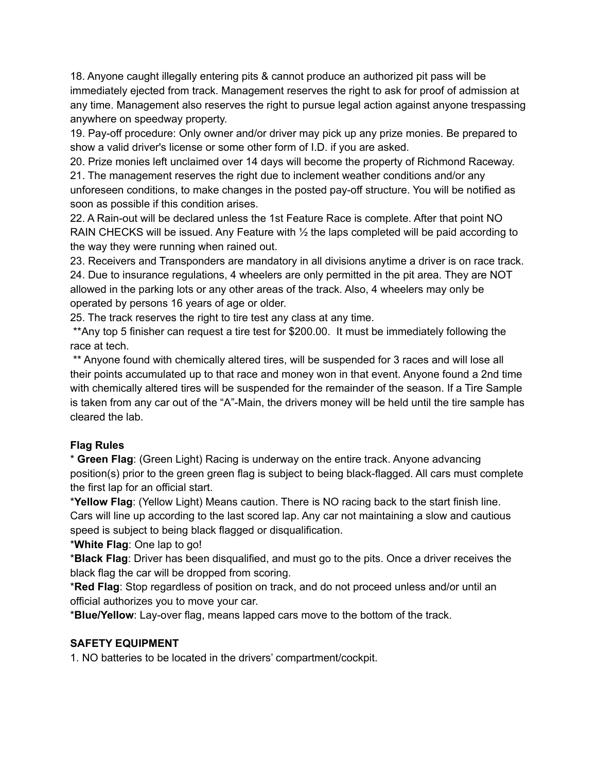18. Anyone caught illegally entering pits & cannot produce an authorized pit pass will be immediately ejected from track. Management reserves the right to ask for proof of admission at any time. Management also reserves the right to pursue legal action against anyone trespassing anywhere on speedway property.

19. Pay-off procedure: Only owner and/or driver may pick up any prize monies. Be prepared to show a valid driver's license or some other form of I.D. if you are asked.

20. Prize monies left unclaimed over 14 days will become the property of Richmond Raceway. 21. The management reserves the right due to inclement weather conditions and/or any unforeseen conditions, to make changes in the posted pay-off structure. You will be notified as soon as possible if this condition arises.

22. A Rain-out will be declared unless the 1st Feature Race is complete. After that point NO RAIN CHECKS will be issued. Any Feature with  $\frac{1}{2}$  the laps completed will be paid according to the way they were running when rained out.

23. Receivers and Transponders are mandatory in all divisions anytime a driver is on race track. 24. Due to insurance regulations, 4 wheelers are only permitted in the pit area. They are NOT allowed in the parking lots or any other areas of the track. Also, 4 wheelers may only be operated by persons 16 years of age or older.

25. The track reserves the right to tire test any class at any time.

\*\*Any top 5 finisher can request a tire test for \$200.00. It must be immediately following the race at tech.

\*\* Anyone found with chemically altered tires, will be suspended for 3 races and will lose all their points accumulated up to that race and money won in that event. Anyone found a 2nd time with chemically altered tires will be suspended for the remainder of the season. If a Tire Sample is taken from any car out of the "A"-Main, the drivers money will be held until the tire sample has cleared the lab.

## **Flag Rules**

\* **Green Flag**: (Green Light) Racing is underway on the entire track. Anyone advancing position(s) prior to the green green flag is subject to being black-flagged. All cars must complete the first lap for an official start.

\***Yellow Flag**: (Yellow Light) Means caution. There is NO racing back to the start finish line. Cars will line up according to the last scored lap. Any car not maintaining a slow and cautious speed is subject to being black flagged or disqualification.

\***White Flag**: One lap to go!

\***Black Flag**: Driver has been disqualified, and must go to the pits. Once a driver receives the black flag the car will be dropped from scoring.

\***Red Flag**: Stop regardless of position on track, and do not proceed unless and/or until an official authorizes you to move your car.

\***Blue/Yellow**: Lay-over flag, means lapped cars move to the bottom of the track.

## **SAFETY EQUIPMENT**

1. NO batteries to be located in the drivers' compartment/cockpit.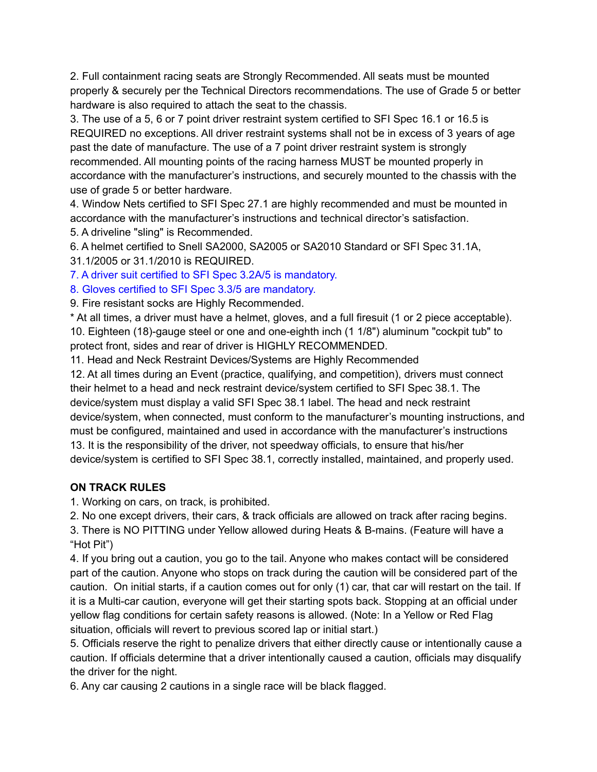2. Full containment racing seats are Strongly Recommended. All seats must be mounted properly & securely per the Technical Directors recommendations. The use of Grade 5 or better hardware is also required to attach the seat to the chassis.

3. The use of a 5, 6 or 7 point driver restraint system certified to SFI Spec 16.1 or 16.5 is REQUIRED no exceptions. All driver restraint systems shall not be in excess of 3 years of age past the date of manufacture. The use of a 7 point driver restraint system is strongly recommended. All mounting points of the racing harness MUST be mounted properly in accordance with the manufacturer's instructions, and securely mounted to the chassis with the use of grade 5 or better hardware.

4. Window Nets certified to SFI Spec 27.1 are highly recommended and must be mounted in accordance with the manufacturer's instructions and technical director's satisfaction.

5. A driveline "sling" is Recommended.

6. A helmet certified to Snell SA2000, SA2005 or SA2010 Standard or SFI Spec 31.1A, 31.1/2005 or 31.1/2010 is REQUIRED.

7. A driver suit certified to SFI Spec 3.2A/5 is mandatory.

8. Gloves certified to SFI Spec 3.3/5 are mandatory.

9. Fire resistant socks are Highly Recommended.

\* At all times, a driver must have a helmet, gloves, and a full firesuit (1 or 2 piece acceptable). 10. Eighteen (18)-gauge steel or one and one-eighth inch (1 1/8") aluminum "cockpit tub" to protect front, sides and rear of driver is HIGHLY RECOMMENDED.

11. Head and Neck Restraint Devices/Systems are Highly Recommended

12. At all times during an Event (practice, qualifying, and competition), drivers must connect their helmet to a head and neck restraint device/system certified to SFI Spec 38.1. The device/system must display a valid SFI Spec 38.1 label. The head and neck restraint device/system, when connected, must conform to the manufacturer's mounting instructions, and must be configured, maintained and used in accordance with the manufacturer's instructions 13. It is the responsibility of the driver, not speedway officials, to ensure that his/her device/system is certified to SFI Spec 38.1, correctly installed, maintained, and properly used.

# **ON TRACK RULES**

1. Working on cars, on track, is prohibited.

2. No one except drivers, their cars, & track officials are allowed on track after racing begins. 3. There is NO PITTING under Yellow allowed during Heats & B-mains. (Feature will have a "Hot Pit")

4. If you bring out a caution, you go to the tail. Anyone who makes contact will be considered part of the caution. Anyone who stops on track during the caution will be considered part of the caution. On initial starts, if a caution comes out for only (1) car, that car will restart on the tail. If it is a Multi-car caution, everyone will get their starting spots back. Stopping at an official under yellow flag conditions for certain safety reasons is allowed. (Note: In a Yellow or Red Flag situation, officials will revert to previous scored lap or initial start.)

5. Officials reserve the right to penalize drivers that either directly cause or intentionally cause a caution. If officials determine that a driver intentionally caused a caution, officials may disqualify the driver for the night.

6. Any car causing 2 cautions in a single race will be black flagged.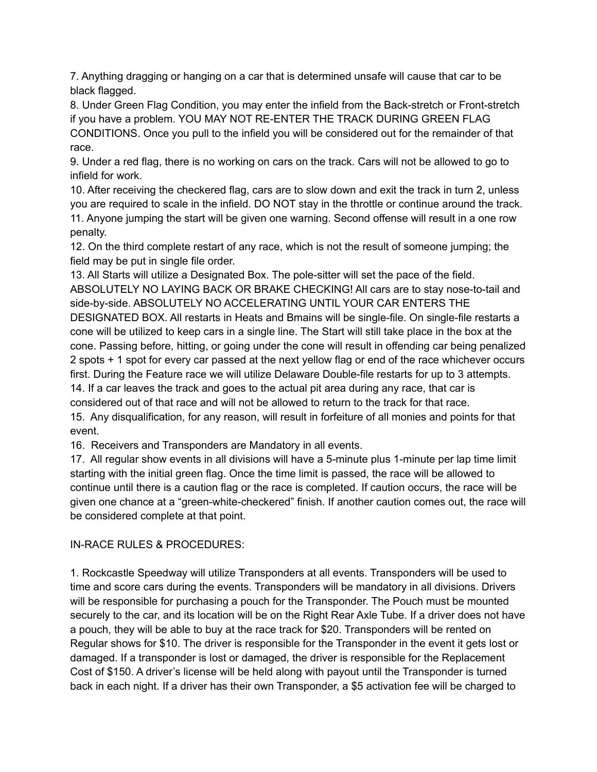7. Anything dragging or hanging on a car that is determined unsafe will cause that car to be black flagged.

8. Under Green Flag Condition, you may enter the infield from the Back-stretch or Front-stretch if you have a problem. YOU MAY NOT RE-ENTER THE TRACK DURING GREEN FLAG CONDITIONS. Once you pull to the infield you will be considered out for the remainder of that race.

9. Under a red flag, there is no working on cars on the track. Cars will not be allowed to go to infield for work.

10. After receiving the checkered flag, cars are to slow down and exit the track in turn 2, unless you are required to scale in the infield. DO NOT stay in the throttle or continue around the track. 11. Anyone jumping the start will be given one warning. Second offense will result in a one row penalty.

12. On the third complete restart of any race, which is not the result of someone jumping; the field may be put in single file order.

13. All Starts will utilize a Designated Box. The pole-sitter will set the pace of the field. ABSOLUTELY NO LAYING BACK OR BRAKE CHECKING! All cars are to stay nose-to-tail and side-by-side. ABSOLUTELY NO ACCELERATING UNTIL YOUR CAR ENTERS THE DESIGNATED BOX. All restarts in Heats and Bmains will be single-file. On single-file restarts a cone will be utilized to keep cars in a single line. The Start will still take place in the box at the cone. Passing before, hitting, or going under the cone will result in offending car being penalized 2 spots + 1 spot for every car passed at the next yellow flag or end of the race whichever occurs first. During the Feature race we will utilize Delaware Double-file restarts for up to 3 attempts. 14. If a car leaves the track and goes to the actual pit area during any race, that car is considered out of that race and will not be allowed to return to the track for that race. 15. Any disqualification, for any reason, will result in forfeiture of all monies and points for that event.

16. Receivers and Transponders are Mandatory in all events.

17. All regular show events in all divisions will have a 5-minute plus 1-minute per lap time limit starting with the initial green flag. Once the time limit is passed, the race will be allowed to continue until there is a caution flag or the race is completed. If caution occurs, the race will be given one chance at a "green-white-checkered" finish. If another caution comes out, the race will be considered complete at that point.

## IN-RACE RULES & PROCEDURES:

1. Rockcastle Speedway will utilize Transponders at all events. Transponders will be used to time and score cars during the events. Transponders will be mandatory in all divisions. Drivers will be responsible for purchasing a pouch for the Transponder. The Pouch must be mounted securely to the car, and its location will be on the Right Rear Axle Tube. If a driver does not have a pouch, they will be able to buy at the race track for \$20. Transponders will be rented on Regular shows for \$10. The driver is responsible for the Transponder in the event it gets lost or damaged. If a transponder is lost or damaged, the driver is responsible for the Replacement Cost of \$150. A driver's license will be held along with payout until the Transponder is turned back in each night. If a driver has their own Transponder, a \$5 activation fee will be charged to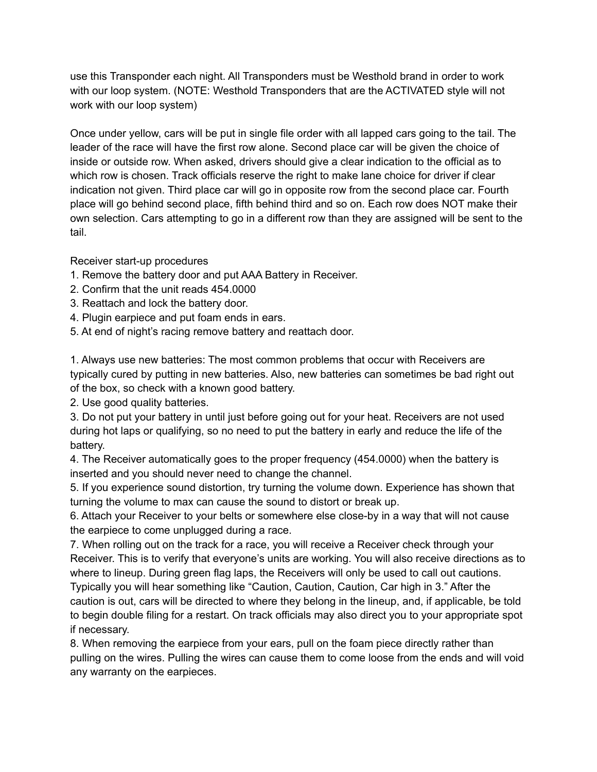use this Transponder each night. All Transponders must be Westhold brand in order to work with our loop system. (NOTE: Westhold Transponders that are the ACTIVATED style will not work with our loop system)

Once under yellow, cars will be put in single file order with all lapped cars going to the tail. The leader of the race will have the first row alone. Second place car will be given the choice of inside or outside row. When asked, drivers should give a clear indication to the official as to which row is chosen. Track officials reserve the right to make lane choice for driver if clear indication not given. Third place car will go in opposite row from the second place car. Fourth place will go behind second place, fifth behind third and so on. Each row does NOT make their own selection. Cars attempting to go in a different row than they are assigned will be sent to the tail.

Receiver start-up procedures

- 1. Remove the battery door and put AAA Battery in Receiver.
- 2. Confirm that the unit reads 454.0000
- 3. Reattach and lock the battery door.
- 4. Plugin earpiece and put foam ends in ears.
- 5. At end of night's racing remove battery and reattach door.

1. Always use new batteries: The most common problems that occur with Receivers are typically cured by putting in new batteries. Also, new batteries can sometimes be bad right out of the box, so check with a known good battery.

2. Use good quality batteries.

3. Do not put your battery in until just before going out for your heat. Receivers are not used during hot laps or qualifying, so no need to put the battery in early and reduce the life of the battery.

4. The Receiver automatically goes to the proper frequency (454.0000) when the battery is inserted and you should never need to change the channel.

5. If you experience sound distortion, try turning the volume down. Experience has shown that turning the volume to max can cause the sound to distort or break up.

6. Attach your Receiver to your belts or somewhere else close-by in a way that will not cause the earpiece to come unplugged during a race.

7. When rolling out on the track for a race, you will receive a Receiver check through your Receiver. This is to verify that everyone's units are working. You will also receive directions as to where to lineup. During green flag laps, the Receivers will only be used to call out cautions.

Typically you will hear something like "Caution, Caution, Caution, Car high in 3." After the caution is out, cars will be directed to where they belong in the lineup, and, if applicable, be told to begin double filing for a restart. On track officials may also direct you to your appropriate spot if necessary.

8. When removing the earpiece from your ears, pull on the foam piece directly rather than pulling on the wires. Pulling the wires can cause them to come loose from the ends and will void any warranty on the earpieces.